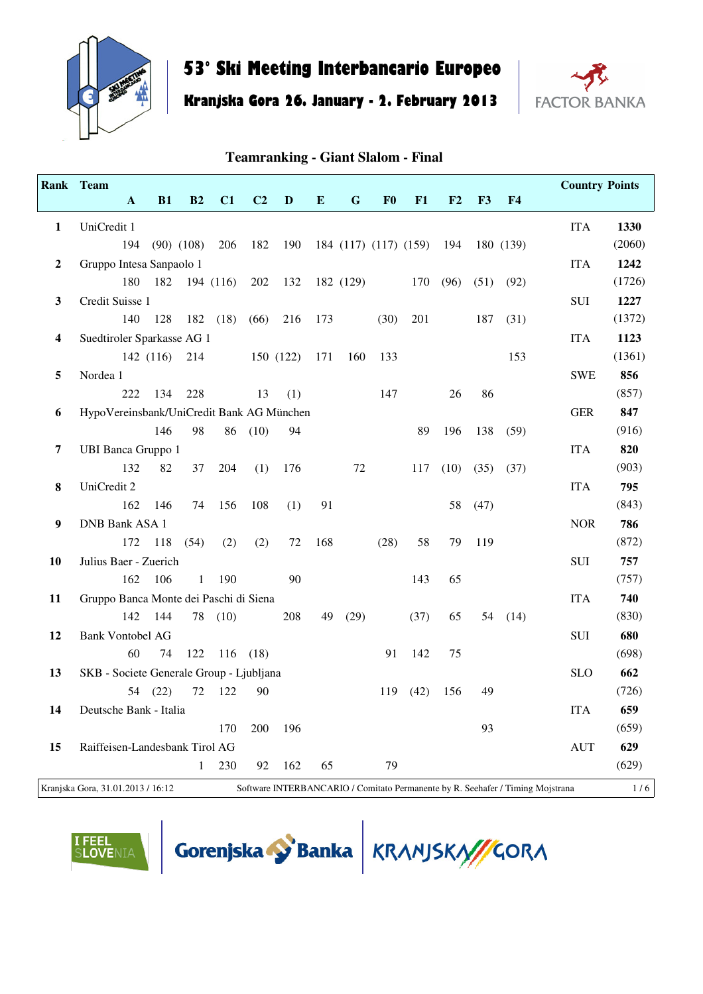

# **53° Ski Meeting Interbancario Europeo**

#### **Kranjska Gora 26. January - 2. February 2013**



#### **Teamranking - Giant Slalom - Final**

|                | Rank Team                                 |              |          |                |           |                |           |           |             |                |                           |      |      |                | <b>Country Points</b>                                                          |        |
|----------------|-------------------------------------------|--------------|----------|----------------|-----------|----------------|-----------|-----------|-------------|----------------|---------------------------|------|------|----------------|--------------------------------------------------------------------------------|--------|
|                |                                           | $\mathbf{A}$ | B1       | B2             | C1        | C <sub>2</sub> | D         | ${\bf E}$ | $\mathbf G$ | F <sub>0</sub> | F1                        | F2   | F3   | F <sub>4</sub> |                                                                                |        |
| $\mathbf{1}$   | UniCredit 1                               |              |          |                |           |                |           |           |             |                |                           |      |      |                | <b>ITA</b>                                                                     | 1330   |
|                |                                           | 194          |          | $(90)$ $(108)$ | 206       | 182            | 190       |           |             |                | 184 (117) (117) (159) 194 |      |      | 180 (139)      |                                                                                | (2060) |
| $\overline{2}$ | Gruppo Intesa Sanpaolo 1                  |              |          |                |           |                |           |           |             |                |                           |      |      |                | <b>ITA</b>                                                                     | 1242   |
|                |                                           | 180          | 182      |                | 194 (116) | 202            | 132       |           | 182 (129)   |                | 170                       | (96) | (51) | (92)           |                                                                                | (1726) |
| $\mathbf{3}$   | Credit Suisse 1                           |              |          |                |           |                |           |           |             |                |                           |      |      |                | SUI                                                                            | 1227   |
|                |                                           | 140          | 128      |                | 182 (18)  | (66)           | 216       | 173       |             | (30)           | 201                       |      | 187  | (31)           |                                                                                | (1372) |
| 4              | Suedtiroler Sparkasse AG 1                |              |          |                |           |                |           |           |             |                |                           |      |      |                | <b>ITA</b>                                                                     | 1123   |
|                |                                           |              | 142(116) | 214            |           |                | 150 (122) | 171       | 160         | 133            |                           |      |      | 153            |                                                                                | (1361) |
| 5              | Nordea 1                                  |              |          |                |           |                |           |           |             |                |                           |      |      |                | <b>SWE</b>                                                                     | 856    |
|                |                                           | 222          | 134      | 228            |           | 13             | (1)       |           |             | 147            |                           | 26   | 86   |                |                                                                                | (857)  |
| 6              | HypoVereinsbank/UniCredit Bank AG München |              |          |                |           |                |           |           |             |                |                           |      |      |                | <b>GER</b>                                                                     | 847    |
|                |                                           |              | 146      | 98             | 86        | (10)           | 94        |           |             |                | 89                        | 196  | 138  | (59)           |                                                                                | (916)  |
| 7              | <b>UBI Banca Gruppo 1</b>                 |              |          |                |           |                |           |           |             |                |                           |      |      |                | <b>ITA</b>                                                                     | 820    |
|                |                                           | 132          | 82       | 37             | 204       | (1)            | 176       |           | 72          |                | 117                       | (10) | (35) | (37)           |                                                                                | (903)  |
| 8              | UniCredit 2                               |              |          |                |           |                |           |           |             |                |                           |      |      |                | <b>ITA</b>                                                                     | 795    |
|                |                                           | 162          | 146      | 74             | 156       | 108            | (1)       | 91        |             |                |                           | 58   | (47) |                |                                                                                | (843)  |
| 9              | DNB Bank ASA 1                            |              |          |                |           |                |           |           |             |                |                           |      |      |                | <b>NOR</b>                                                                     | 786    |
|                |                                           |              | 172 118  | (54)           | (2)       | (2)            | 72        | 168       |             | (28)           | 58                        | 79   | 119  |                |                                                                                | (872)  |
| 10             | Julius Baer - Zuerich                     |              |          |                |           |                |           |           |             |                |                           |      |      |                | <b>SUI</b>                                                                     | 757    |
|                |                                           | 162          | 106      | 1              | 190       |                | 90        |           |             |                | 143                       | 65   |      |                |                                                                                | (757)  |
| 11             | Gruppo Banca Monte dei Paschi di Siena    |              |          |                |           |                |           |           |             |                |                           |      |      |                | <b>ITA</b>                                                                     | 740    |
|                |                                           | 142          | 144      |                | 78 (10)   |                | 208       | 49        | (29)        |                | (37)                      | 65   | 54   | (14)           |                                                                                | (830)  |
| 12             | <b>Bank Vontobel AG</b>                   |              |          |                |           |                |           |           |             |                |                           |      |      |                | $\rm SUI$                                                                      | 680    |
|                |                                           | 60           | 74       | 122            |           | $116$ (18)     |           |           |             | 91             | 142                       | 75   |      |                |                                                                                | (698)  |
| 13             | SKB - Societe Generale Group - Ljubljana  |              |          |                |           |                |           |           |             |                |                           |      |      |                | <b>SLO</b>                                                                     | 662    |
|                |                                           |              | 54 (22)  | 72             | 122       | 90             |           |           |             |                | 119(42)                   | 156  | 49   |                |                                                                                | (726)  |
| 14             | Deutsche Bank - Italia                    |              |          |                |           |                |           |           |             |                |                           |      |      |                | <b>ITA</b>                                                                     | 659    |
|                |                                           |              |          |                | 170       | 200            | 196       |           |             |                |                           |      | 93   |                |                                                                                | (659)  |
| 15             | Raiffeisen-Landesbank Tirol AG            |              |          |                |           |                |           |           |             |                |                           |      |      |                | <b>AUT</b>                                                                     | 629    |
|                |                                           |              |          | $\mathbf{1}$   | 230       | 92             | 162       | 65        |             | 79             |                           |      |      |                |                                                                                | (629)  |
|                | Kraniska Gora, 31.01.2013/16:12           |              |          |                |           |                |           |           |             |                |                           |      |      |                | Software INTERRANCARIO / Comitato Permanente by R. Seebafer / Timing Mojstrana | 1/6    |

KRIGA GORA, 31.01.2013 INTERBANCARIO / Comitato Permanente by R. Seehafer / Timing Mojstrana 1 / 6



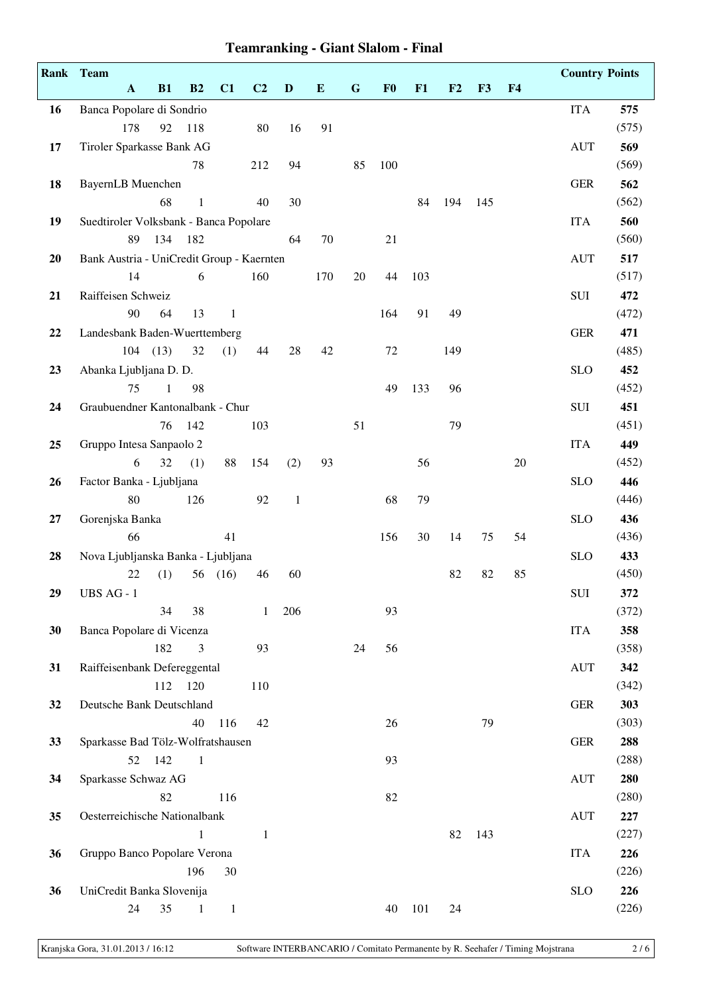|    | Rank Team                                 |              |                |              |                |              |           |             |                |     |     |     |                | <b>Country Points</b> |              |
|----|-------------------------------------------|--------------|----------------|--------------|----------------|--------------|-----------|-------------|----------------|-----|-----|-----|----------------|-----------------------|--------------|
|    | $\mathbf{A}$                              | B1           | B2             | C1           | C <sub>2</sub> | $\mathbf{D}$ | ${\bf E}$ | $\mathbf G$ | F <sub>0</sub> | F1  | F2  | F3  | F <sub>4</sub> |                       |              |
| 16 | Banca Popolare di Sondrio                 |              |                |              |                |              |           |             |                |     |     |     |                | <b>ITA</b>            | 575          |
|    | 178                                       | 92           | 118            |              | 80             | 16           | 91        |             |                |     |     |     |                |                       | (575)        |
| 17 | Tiroler Sparkasse Bank AG                 |              |                |              |                |              |           |             |                |     |     |     |                | <b>AUT</b>            | 569          |
|    |                                           |              | 78             |              | 212            | 94           |           | 85          | 100            |     |     |     |                |                       | (569)        |
| 18 | BayernLB Muenchen                         |              |                |              |                |              |           |             |                |     |     |     |                | <b>GER</b>            | 562          |
|    |                                           | 68           | $\mathbf{1}$   |              | 40             | 30           |           |             |                | 84  | 194 | 145 |                |                       | (562)        |
| 19 | Suedtiroler Volksbank - Banca Popolare    |              |                |              |                |              |           |             |                |     |     |     |                | <b>ITA</b>            | 560          |
|    | 89                                        | 134          | 182            |              |                | 64           | 70        |             | 21             |     |     |     |                |                       | (560)        |
| 20 | Bank Austria - UniCredit Group - Kaernten |              |                |              |                |              |           |             |                |     |     |     |                | <b>AUT</b>            | 517          |
|    | 14                                        |              | 6              |              | 160            |              | 170       | 20          | 44             | 103 |     |     |                |                       | (517)        |
| 21 | Raiffeisen Schweiz                        |              |                |              |                |              |           |             |                |     |     |     |                | SUI                   | 472          |
|    | 90                                        | 64           | 13             | 1            |                |              |           |             | 164            | 91  | 49  |     |                |                       | (472)        |
| 22 | Landesbank Baden-Wuerttemberg             |              |                |              |                |              |           |             |                |     |     |     |                | <b>GER</b>            | 471          |
|    |                                           | $104$ (13)   | 32             | (1)          | 44             | 28           | 42        |             | 72             |     | 149 |     |                |                       | (485)        |
| 23 | Abanka Ljubljana D. D.                    |              |                |              |                |              |           |             |                |     |     |     |                | <b>SLO</b>            | 452          |
|    | 75                                        | $\mathbf{1}$ | 98             |              |                |              |           |             | 49             | 133 | 96  |     |                |                       | (452)        |
| 24 | Graubuendner Kantonalbank - Chur          |              |                |              |                |              |           |             |                |     |     |     |                | SUI                   | 451          |
|    |                                           | 76           | 142            |              | 103            |              |           | 51          |                |     | 79  |     |                |                       | (451)        |
| 25 | Gruppo Intesa Sanpaolo 2                  |              |                |              |                |              |           |             |                |     |     |     |                | <b>ITA</b>            | 449          |
|    | 6                                         | 32           | (1)            | 88           | 154            | (2)          | 93        |             |                | 56  |     |     | 20             |                       | (452)        |
| 26 | Factor Banka - Ljubljana                  |              |                |              |                |              |           |             |                |     |     |     |                | <b>SLO</b>            | 446          |
|    | 80                                        |              | 126            |              | 92             | $\mathbf{1}$ |           |             | 68             | 79  |     |     |                |                       | (446)        |
| 27 | Gorenjska Banka                           |              |                |              |                |              |           |             |                |     |     |     |                | <b>SLO</b>            | 436          |
|    | 66                                        |              |                | 41           |                |              |           |             | 156            | 30  | 14  | 75  | 54             |                       | (436)        |
| 28 | Nova Ljubljanska Banka - Ljubljana        |              |                |              |                |              |           |             |                |     |     |     |                | <b>SLO</b>            | 433          |
|    | 22                                        | (1)          | 56             | (16)         | 46             | 60           |           |             |                |     | 82  | 82  | 85             |                       | (450)        |
| 29 | UBS AG - 1                                |              |                |              |                |              |           |             |                |     |     |     |                | SUI                   | 372          |
|    |                                           | 34           | 38             |              | $\mathbf{1}$   | 206          |           |             | 93             |     |     |     |                |                       | (372)        |
| 30 | Banca Popolare di Vicenza                 |              |                |              |                |              |           |             |                |     |     |     |                | <b>ITA</b>            | 358<br>(358) |
|    |                                           | 182          | 3              |              | 93             |              |           | 24          | 56             |     |     |     |                |                       |              |
| 31 | Raiffeisenbank Defereggental              | 112          | 120            |              | 110            |              |           |             |                |     |     |     |                | <b>AUT</b>            | 342          |
|    | Deutsche Bank Deutschland                 |              |                |              |                |              |           |             |                |     |     |     |                | <b>GER</b>            | (342)<br>303 |
| 32 |                                           |              | 40             | 116          | 42             |              |           |             | 26             |     |     | 79  |                |                       | (303)        |
|    | Sparkasse Bad Tölz-Wolfratshausen         |              |                |              |                |              |           |             |                |     |     |     |                |                       | 288          |
| 33 |                                           | 52 142       | $\overline{1}$ |              |                |              |           |             | 93             |     |     |     |                | ${\tt GER}$           | (288)        |
|    | Sparkasse Schwaz AG                       |              |                |              |                |              |           |             |                |     |     |     |                | <b>AUT</b>            | 280          |
| 34 |                                           | 82           |                | 116          |                |              |           |             | 82             |     |     |     |                |                       | (280)        |
|    |                                           |              |                |              |                |              |           |             |                |     |     |     |                |                       |              |
| 35 | Oesterreichische Nationalbank             |              | 1              |              |                |              |           |             |                |     | 82  | 143 |                | <b>AUT</b>            | 227<br>(227) |
| 36 |                                           |              |                |              | $\mathbf{1}$   |              |           |             |                |     |     |     |                | <b>ITA</b>            | 226          |
|    | Gruppo Banco Popolare Verona              |              | 196            | 30           |                |              |           |             |                |     |     |     |                |                       | (226)        |
| 36 | UniCredit Banka Slovenija                 |              |                |              |                |              |           |             |                |     |     |     |                | <b>SLO</b>            | 226          |
|    | 24                                        | 35           | $\mathbf{1}$   | $\mathbf{1}$ |                |              |           |             | 40             | 101 | 24  |     |                |                       | (226)        |
|    |                                           |              |                |              |                |              |           |             |                |     |     |     |                |                       |              |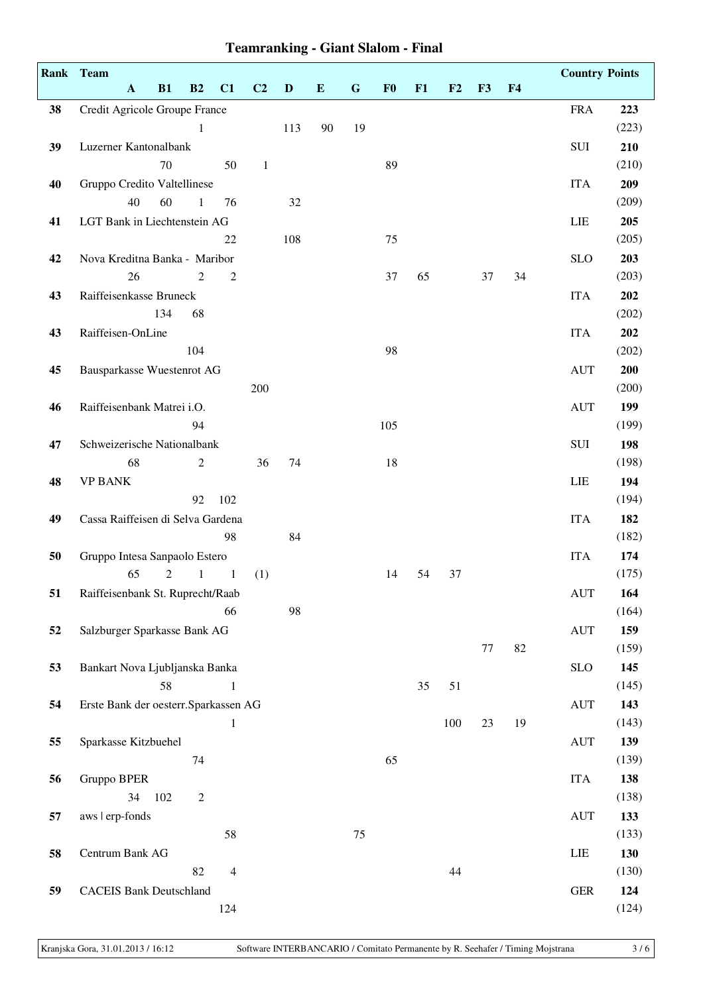|    | Rank Team                             |                |                |                |                |              |           |             |                |    |     |    |                | <b>Country Points</b>            |       |
|----|---------------------------------------|----------------|----------------|----------------|----------------|--------------|-----------|-------------|----------------|----|-----|----|----------------|----------------------------------|-------|
|    | $\mathbf{A}$                          | B1             | B2             | C1             | C <sub>2</sub> | $\mathbf{D}$ | ${\bf E}$ | $\mathbf G$ | F <sub>0</sub> | F1 | F2  | F3 | F <sub>4</sub> |                                  |       |
| 38 | Credit Agricole Groupe France         |                |                |                |                |              |           |             |                |    |     |    |                | <b>FRA</b>                       | 223   |
|    |                                       |                | 1              |                |                | 113          | 90        | 19          |                |    |     |    |                |                                  | (223) |
| 39 | Luzerner Kantonalbank                 |                |                |                |                |              |           |             |                |    |     |    |                | SUI                              | 210   |
|    |                                       | 70             |                | 50             | $1\,$          |              |           |             | 89             |    |     |    |                |                                  | (210) |
| 40 | Gruppo Credito Valtellinese           |                |                |                |                |              |           |             |                |    |     |    |                | <b>ITA</b>                       | 209   |
|    | 40                                    | 60             | $\mathbf{1}$   | 76             |                | 32           |           |             |                |    |     |    |                |                                  | (209) |
| 41 | LGT Bank in Liechtenstein AG          |                |                |                |                |              |           |             |                |    |     |    |                | LIE                              | 205   |
|    |                                       |                |                | 22             |                | 108          |           |             | 75             |    |     |    |                |                                  | (205) |
| 42 | Nova Kreditna Banka - Maribor         |                |                |                |                |              |           |             |                |    |     |    |                | <b>SLO</b>                       | 203   |
|    | 26                                    |                | $\mathfrak{2}$ | $\overline{c}$ |                |              |           |             | 37             | 65 |     | 37 | 34             |                                  | (203) |
| 43 | Raiffeisenkasse Bruneck               |                |                |                |                |              |           |             |                |    |     |    |                | <b>ITA</b>                       | 202   |
|    |                                       | 134            | 68             |                |                |              |           |             |                |    |     |    |                |                                  | (202) |
| 43 | Raiffeisen-OnLine                     |                |                |                |                |              |           |             |                |    |     |    |                | <b>ITA</b>                       | 202   |
|    |                                       |                | 104            |                |                |              |           |             | 98             |    |     |    |                |                                  | (202) |
| 45 | Bausparkasse Wuestenrot AG            |                |                |                |                |              |           |             |                |    |     |    |                | <b>AUT</b>                       | 200   |
|    |                                       |                |                |                | 200            |              |           |             |                |    |     |    |                |                                  | (200) |
| 46 | Raiffeisenbank Matrei i.O.            |                |                |                |                |              |           |             |                |    |     |    |                | <b>AUT</b>                       | 199   |
|    |                                       |                | 94             |                |                |              |           |             | 105            |    |     |    |                |                                  | (199) |
| 47 | Schweizerische Nationalbank           |                |                |                |                |              |           |             |                |    |     |    |                | SUI                              | 198   |
|    | 68                                    |                | $\mathfrak{2}$ |                | 36             | 74           |           |             | 18             |    |     |    |                |                                  | (198) |
| 48 | <b>VP BANK</b>                        |                |                |                |                |              |           |             |                |    |     |    |                | LIE                              | 194   |
|    |                                       |                | 92             | 102            |                |              |           |             |                |    |     |    |                |                                  | (194) |
| 49 | Cassa Raiffeisen di Selva Gardena     |                |                |                |                |              |           |             |                |    |     |    |                | <b>ITA</b>                       | 182   |
|    |                                       |                |                | 98             |                | 84           |           |             |                |    |     |    |                |                                  | (182) |
| 50 | Gruppo Intesa Sanpaolo Estero         |                |                |                |                |              |           |             |                |    |     |    |                | <b>ITA</b>                       | 174   |
|    | 65                                    | $\overline{c}$ | $\mathbf{1}$   | $\mathbf{1}$   | (1)            |              |           |             | 14             | 54 | 37  |    |                |                                  | (175) |
| 51 | Raiffeisenbank St. Ruprecht/Raab      |                |                |                |                |              |           |             |                |    |     |    |                | <b>AUT</b>                       | 164   |
|    |                                       |                |                | 66             |                | 98           |           |             |                |    |     |    |                |                                  | (164) |
| 52 | Salzburger Sparkasse Bank AG          |                |                |                |                |              |           |             |                |    |     |    |                | <b>AUT</b>                       | 159   |
|    |                                       |                |                |                |                |              |           |             |                |    |     | 77 | 82             |                                  | (159) |
| 53 | Bankart Nova Ljubljanska Banka        |                |                |                |                |              |           |             |                |    |     |    |                | SLO                              | 145   |
|    |                                       | 58             |                | 1              |                |              |           |             |                | 35 | 51  |    |                |                                  | (145) |
| 54 | Erste Bank der oesterr. Sparkassen AG |                |                |                |                |              |           |             |                |    |     |    |                | <b>AUT</b>                       | 143   |
|    |                                       |                |                | 1              |                |              |           |             |                |    | 100 | 23 | 19             |                                  | (143) |
| 55 | Sparkasse Kitzbuehel                  |                |                |                |                |              |           |             |                |    |     |    |                | $\mathbf{A}\mathbf{U}\mathbf{T}$ | 139   |
|    |                                       |                | 74             |                |                |              |           |             | 65             |    |     |    |                |                                  | (139) |
| 56 | Gruppo BPER                           |                |                |                |                |              |           |             |                |    |     |    |                | <b>ITA</b>                       | 138   |
|    | 34                                    | 102            | $\mathfrak{2}$ |                |                |              |           |             |                |    |     |    |                |                                  | (138) |
| 57 | aws   erp-fonds                       |                |                |                |                |              |           |             |                |    |     |    |                | <b>AUT</b>                       | 133   |
|    |                                       |                |                | 58             |                |              |           | 75          |                |    |     |    |                |                                  | (133) |
| 58 | Centrum Bank AG                       |                |                |                |                |              |           |             |                |    |     |    |                | LIE                              | 130   |
|    |                                       |                | 82             | $\overline{4}$ |                |              |           |             |                |    | 44  |    |                |                                  | (130) |
| 59 | <b>CACEIS Bank Deutschland</b>        |                |                |                |                |              |           |             |                |    |     |    |                | ${\tt GER}$                      | 124   |
|    |                                       |                |                | 124            |                |              |           |             |                |    |     |    |                |                                  | (124) |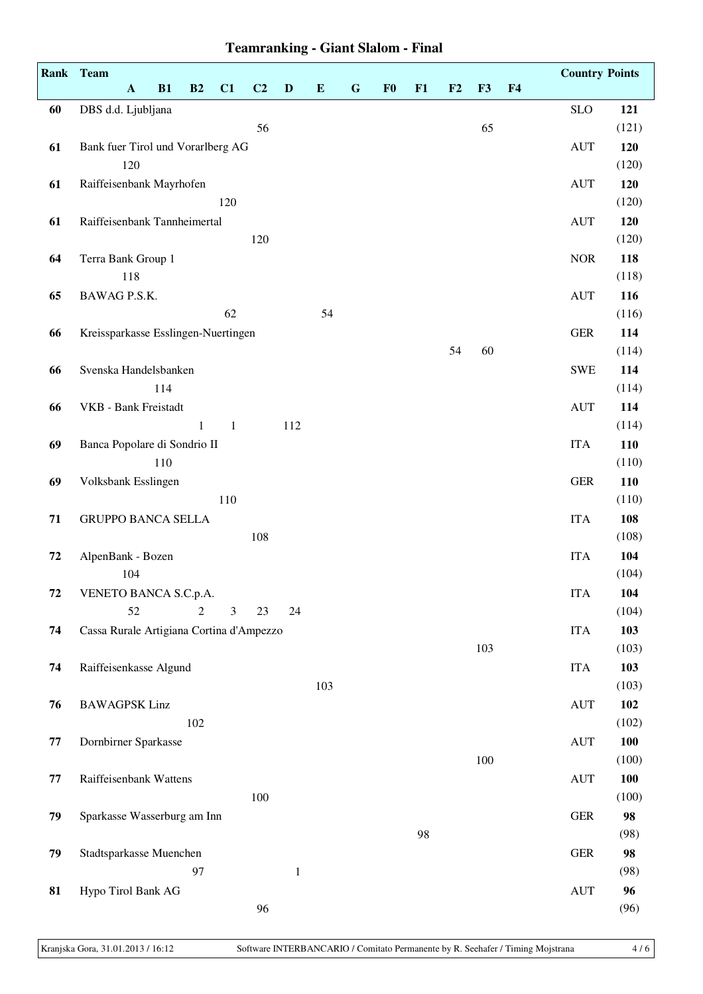|    | Rank Team                                |     |                |              |                |              |          |           |                |    |    |     |                | <b>Country Points</b>            |              |  |  |  |  |  |
|----|------------------------------------------|-----|----------------|--------------|----------------|--------------|----------|-----------|----------------|----|----|-----|----------------|----------------------------------|--------------|--|--|--|--|--|
|    | $\mathbf{A}$                             | B1  | B2             | C1           | C <sub>2</sub> | $\mathbf{D}$ | $\bf{E}$ | ${\bf G}$ | F <sub>0</sub> | F1 | F2 | F3  | F <sub>4</sub> |                                  |              |  |  |  |  |  |
| 60 | DBS d.d. Ljubljana                       |     |                |              |                |              |          |           |                |    |    |     |                | <b>SLO</b>                       | 121          |  |  |  |  |  |
|    |                                          |     |                |              | 56             |              |          |           |                |    |    | 65  |                |                                  | (121)        |  |  |  |  |  |
| 61 | Bank fuer Tirol und Vorarlberg AG        |     |                |              |                |              |          |           |                |    |    |     |                | <b>AUT</b>                       | 120          |  |  |  |  |  |
|    | 120                                      |     |                |              |                |              |          |           |                |    |    |     |                |                                  | (120)        |  |  |  |  |  |
| 61 | Raiffeisenbank Mayrhofen                 |     |                |              |                |              |          |           |                |    |    |     |                | <b>AUT</b>                       | 120          |  |  |  |  |  |
|    |                                          |     |                | 120          |                |              |          |           |                |    |    |     |                |                                  | (120)        |  |  |  |  |  |
| 61 | Raiffeisenbank Tannheimertal             |     |                |              |                |              |          |           |                |    |    |     |                | <b>AUT</b>                       | 120          |  |  |  |  |  |
|    |                                          |     |                |              | 120            |              |          |           |                |    |    |     |                |                                  | (120)        |  |  |  |  |  |
| 64 | Terra Bank Group 1                       |     |                |              |                |              |          |           |                |    |    |     |                | <b>NOR</b>                       | 118          |  |  |  |  |  |
|    | 118                                      |     |                |              |                |              |          |           |                |    |    |     |                |                                  | (118)        |  |  |  |  |  |
| 65 | BAWAG P.S.K.                             |     |                | 62           |                |              | 54       |           |                |    |    |     |                | <b>AUT</b>                       | 116<br>(116) |  |  |  |  |  |
| 66 | Kreissparkasse Esslingen-Nuertingen      |     |                |              |                |              |          |           |                |    |    |     |                | ${\tt GER}$                      | 114          |  |  |  |  |  |
|    |                                          |     |                |              |                |              |          |           |                |    | 54 | 60  |                |                                  | (114)        |  |  |  |  |  |
| 66 | Svenska Handelsbanken                    |     |                |              |                |              |          |           |                |    |    |     |                | <b>SWE</b>                       | 114          |  |  |  |  |  |
|    |                                          | 114 |                |              |                |              |          |           |                |    |    |     |                |                                  | (114)        |  |  |  |  |  |
| 66 | VKB - Bank Freistadt                     |     |                |              |                |              |          |           |                |    |    |     |                | <b>AUT</b>                       | 114          |  |  |  |  |  |
|    |                                          |     | $\mathbf{1}$   | $\mathbf{1}$ |                | 112          |          |           |                |    |    |     |                |                                  | (114)        |  |  |  |  |  |
| 69 | Banca Popolare di Sondrio II             |     |                |              |                |              |          |           |                |    |    |     |                | <b>ITA</b>                       | 110          |  |  |  |  |  |
|    |                                          | 110 |                |              |                |              |          |           |                |    |    |     |                |                                  | (110)        |  |  |  |  |  |
| 69 | Volksbank Esslingen                      |     |                |              |                |              |          |           |                |    |    |     |                | <b>GER</b>                       | 110          |  |  |  |  |  |
|    |                                          |     |                | 110          |                |              |          |           |                |    |    |     |                |                                  | (110)        |  |  |  |  |  |
| 71 | <b>GRUPPO BANCA SELLA</b>                |     |                |              |                |              |          |           |                |    |    |     |                | <b>ITA</b>                       | 108          |  |  |  |  |  |
|    |                                          |     |                |              | 108            |              |          |           |                |    |    |     |                |                                  | (108)        |  |  |  |  |  |
| 72 | AlpenBank - Bozen                        |     |                |              |                |              |          |           |                |    |    |     |                | <b>ITA</b>                       | 104          |  |  |  |  |  |
|    | 104                                      |     |                |              |                |              |          |           |                |    |    |     |                |                                  | (104)        |  |  |  |  |  |
| 72 | VENETO BANCA S.C.p.A.<br>52              |     | $\overline{c}$ | 3            | 23             | 24           |          |           |                |    |    |     |                | <b>ITA</b>                       | 104<br>(104) |  |  |  |  |  |
| 74 | Cassa Rurale Artigiana Cortina d'Ampezzo |     |                |              |                |              |          |           |                |    |    |     |                | <b>ITA</b>                       | 103          |  |  |  |  |  |
|    |                                          |     |                |              |                |              |          |           |                |    |    | 103 |                |                                  | (103)        |  |  |  |  |  |
| 74 | Raiffeisenkasse Algund                   |     |                |              |                |              |          |           |                |    |    |     |                | <b>ITA</b>                       | 103          |  |  |  |  |  |
|    |                                          |     |                |              |                |              | 103      |           |                |    |    |     |                |                                  | (103)        |  |  |  |  |  |
| 76 | <b>BAWAGPSK Linz</b>                     |     |                |              |                |              |          |           |                |    |    |     |                | <b>AUT</b>                       | 102          |  |  |  |  |  |
|    |                                          |     | 102            |              |                |              |          |           |                |    |    |     |                |                                  | (102)        |  |  |  |  |  |
| 77 | Dornbirner Sparkasse                     |     |                |              |                |              |          |           |                |    |    |     |                | <b>AUT</b>                       | 100          |  |  |  |  |  |
|    |                                          |     |                |              |                |              |          |           |                |    |    | 100 |                |                                  | (100)        |  |  |  |  |  |
| 77 | Raiffeisenbank Wattens                   |     |                |              |                |              |          |           |                |    |    |     |                | $\mathbf{A}\mathbf{U}\mathbf{T}$ | 100          |  |  |  |  |  |
|    |                                          |     |                |              | 100            |              |          |           |                |    |    |     |                |                                  | (100)        |  |  |  |  |  |
| 79 | Sparkasse Wasserburg am Inn              |     |                |              |                |              |          |           |                |    |    |     |                | ${\tt GER}$                      | 98           |  |  |  |  |  |
|    |                                          |     |                |              |                |              |          |           |                | 98 |    |     |                |                                  | (98)         |  |  |  |  |  |
| 79 | Stadtsparkasse Muenchen                  |     |                |              |                |              |          |           |                |    |    |     |                | ${\tt GER}$                      | 98           |  |  |  |  |  |
|    |                                          |     | 97             |              |                | $\mathbf{1}$ |          |           |                |    |    |     |                |                                  | (98)         |  |  |  |  |  |
| 81 | Hypo Tirol Bank AG                       |     |                |              | 96             |              |          |           |                |    |    |     |                | <b>AUT</b>                       | 96           |  |  |  |  |  |
|    |                                          |     |                |              |                |              |          |           |                |    |    |     |                |                                  | (96)         |  |  |  |  |  |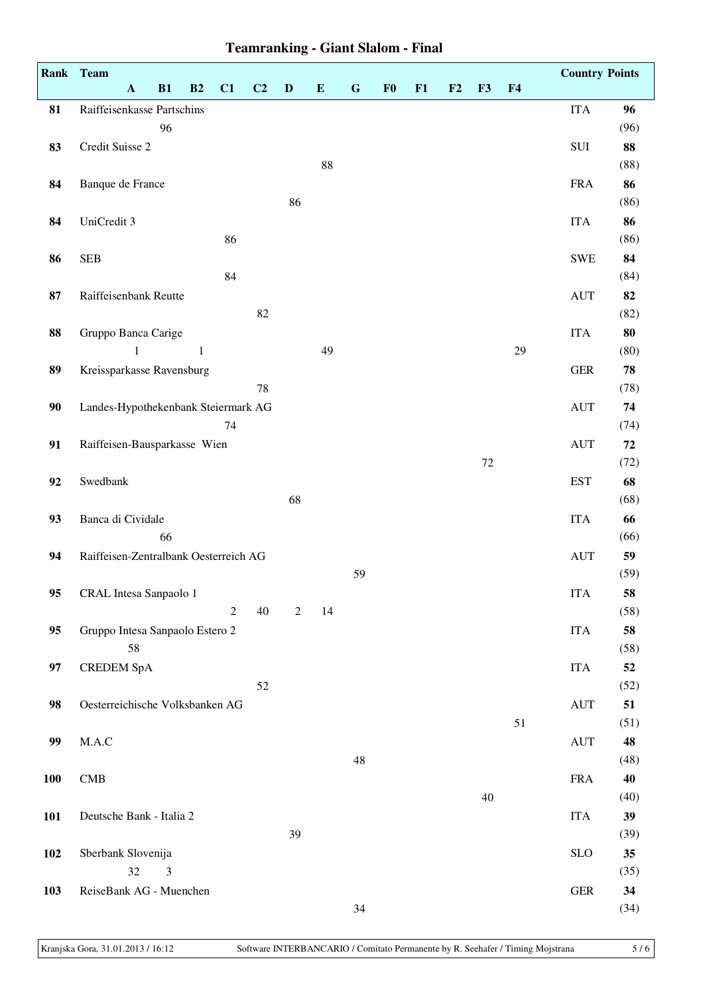|            | Rank Team                             |                |              |                |    |                |           |           |                |    |    |    |                | <b>Country Points</b>            |            |
|------------|---------------------------------------|----------------|--------------|----------------|----|----------------|-----------|-----------|----------------|----|----|----|----------------|----------------------------------|------------|
|            | $\mathbf A$                           | B1             | B2           | C1             | C2 | $\mathbf D$    | ${\bf E}$ | ${\bf G}$ | F <sub>0</sub> | F1 | F2 | F3 | F <sub>4</sub> |                                  |            |
| 81         | Raiffeisenkasse Partschins            |                |              |                |    |                |           |           |                |    |    |    |                | <b>ITA</b>                       | 96         |
|            |                                       | 96             |              |                |    |                |           |           |                |    |    |    |                |                                  | (96)       |
| 83         | Credit Suisse 2                       |                |              |                |    |                |           |           |                |    |    |    |                | SUI                              | 88         |
|            |                                       |                |              |                |    |                | $88\,$    |           |                |    |    |    |                |                                  | (88)       |
| 84         | Banque de France                      |                |              |                |    |                |           |           |                |    |    |    |                | <b>FRA</b>                       | 86         |
|            |                                       |                |              |                |    | 86             |           |           |                |    |    |    |                |                                  | (86)       |
| 84         | UniCredit 3                           |                |              |                |    |                |           |           |                |    |    |    |                | <b>ITA</b>                       | 86         |
|            |                                       |                |              | 86             |    |                |           |           |                |    |    |    |                |                                  | (86)       |
| 86         | <b>SEB</b>                            |                |              |                |    |                |           |           |                |    |    |    |                | <b>SWE</b>                       | 84         |
|            |                                       |                |              | 84             |    |                |           |           |                |    |    |    |                |                                  | (84)       |
| 87         | Raiffeisenbank Reutte                 |                |              |                |    |                |           |           |                |    |    |    |                | $\mathbf{A}\mathbf{U}\mathbf{T}$ | 82         |
|            |                                       |                |              |                | 82 |                |           |           |                |    |    |    |                |                                  | (82)       |
| 88         | Gruppo Banca Carige                   |                |              |                |    |                |           |           |                |    |    |    |                | <b>ITA</b>                       | 80         |
|            | 1                                     |                | $\mathbf{1}$ |                |    |                | 49        |           |                |    |    |    | 29             |                                  | (80)       |
| 89         | Kreissparkasse Ravensburg             |                |              |                |    |                |           |           |                |    |    |    |                | ${\tt GER}$                      | 78         |
|            |                                       |                |              |                | 78 |                |           |           |                |    |    |    |                |                                  | (78)       |
| 90         | Landes-Hypothekenbank Steiermark AG   |                |              |                |    |                |           |           |                |    |    |    |                | $\mathbf{A}\mathbf{U}\mathbf{T}$ | 74         |
|            |                                       |                |              | 74             |    |                |           |           |                |    |    |    |                |                                  | (74)       |
| 91         | Raiffeisen-Bausparkasse Wien          |                |              |                |    |                |           |           |                |    |    |    |                | $\mathbf{A}\mathbf{U}\mathbf{T}$ | ${\bf 72}$ |
|            |                                       |                |              |                |    |                |           |           |                |    |    | 72 |                |                                  | (72)       |
| 92         | Swedbank                              |                |              |                |    |                |           |           |                |    |    |    |                | <b>EST</b>                       | 68         |
|            |                                       |                |              |                |    | 68             |           |           |                |    |    |    |                |                                  | (68)       |
| 93         | Banca di Cividale                     |                |              |                |    |                |           |           |                |    |    |    |                | <b>ITA</b>                       | 66         |
|            |                                       | 66             |              |                |    |                |           |           |                |    |    |    |                |                                  | (66)       |
| 94         | Raiffeisen-Zentralbank Oesterreich AG |                |              |                |    |                |           |           |                |    |    |    |                | $\mathbf{A}\mathbf{U}\mathbf{T}$ | 59         |
|            |                                       |                |              |                |    |                |           | 59        |                |    |    |    |                |                                  | (59)       |
| 95         | CRAL Intesa Sanpaolo 1                |                |              |                |    |                |           |           |                |    |    |    |                | <b>ITA</b>                       | 58         |
|            |                                       |                |              | $\overline{2}$ | 40 | $\overline{2}$ | 14        |           |                |    |    |    |                |                                  | (58)       |
| 95         | Gruppo Intesa Sanpaolo Estero 2       |                |              |                |    |                |           |           |                |    |    |    |                | <b>ITA</b>                       | 58         |
|            | 58                                    |                |              |                |    |                |           |           |                |    |    |    |                |                                  | (58)       |
| 97         | <b>CREDEM SpA</b>                     |                |              |                |    |                |           |           |                |    |    |    |                | <b>ITA</b>                       | 52         |
|            |                                       |                |              |                | 52 |                |           |           |                |    |    |    |                |                                  | (52)       |
| 98         | Oesterreichische Volksbanken AG       |                |              |                |    |                |           |           |                |    |    |    |                | <b>AUT</b>                       | 51         |
|            |                                       |                |              |                |    |                |           |           |                |    |    |    | 51             |                                  | (51)       |
| 99         | M.A.C                                 |                |              |                |    |                |           |           |                |    |    |    |                | <b>AUT</b>                       | 48         |
|            |                                       |                |              |                |    |                |           | 48        |                |    |    |    |                |                                  | (48)       |
| <b>100</b> | CMB                                   |                |              |                |    |                |           |           |                |    |    |    |                | <b>FRA</b>                       | 40         |
|            |                                       |                |              |                |    |                |           |           |                |    |    | 40 |                |                                  | (40)       |
| <b>101</b> | Deutsche Bank - Italia 2              |                |              |                |    |                |           |           |                |    |    |    |                | <b>ITA</b>                       | 39         |
|            |                                       |                |              |                |    | 39             |           |           |                |    |    |    |                |                                  | (39)       |
| 102        | Sberbank Slovenija                    |                |              |                |    |                |           |           |                |    |    |    |                | <b>SLO</b>                       | 35         |
|            | $32\,$                                | $\mathfrak{Z}$ |              |                |    |                |           |           |                |    |    |    |                |                                  | (35)       |
| 103        | ReiseBank AG - Muenchen               |                |              |                |    |                |           |           |                |    |    |    |                | ${\tt GER}$                      | 34         |
|            |                                       |                |              |                |    |                |           | 34        |                |    |    |    |                |                                  | (34)       |